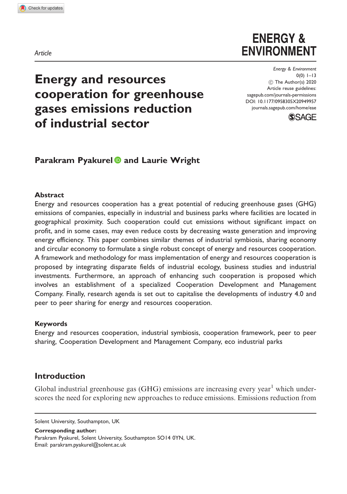Article

# **ENERGY & ENVIRONMENT**

Energy & Environment  $0(0)$  1–13  $\circledcirc$  The Author(s) 2020 Article reuse guidelines: [sagepub.com/journals-permissions](http://uk.sagepub.com/en-gb/journals-permissions) [DOI: 10.1177/0958305X20949957](http://dx.doi.org/10.1177/0958305X20949957) <journals.sagepub.com/home/eae>



# Energy and resources cooperation for greenhouse gases emissions reduction of industrial sector

# Parakram Pyakurel **D** and Laurie Wright

#### **Abstract**

Energy and resources cooperation has a great potential of reducing greenhouse gases (GHG) emissions of companies, especially in industrial and business parks where facilities are located in geographical proximity. Such cooperation could cut emissions without significant impact on profit, and in some cases, may even reduce costs by decreasing waste generation and improving energy efficiency. This paper combines similar themes of industrial symbiosis, sharing economy and circular economy to formulate a single robust concept of energy and resources cooperation. A framework and methodology for mass implementation of energy and resources cooperation is proposed by integrating disparate fields of industrial ecology, business studies and industrial investments. Furthermore, an approach of enhancing such cooperation is proposed which involves an establishment of a specialized Cooperation Development and Management Company. Finally, research agenda is set out to capitalise the developments of industry 4.0 and peer to peer sharing for energy and resources cooperation.

#### Keywords

Energy and resources cooperation, industrial symbiosis, cooperation framework, peer to peer sharing, Cooperation Development and Management Company, eco industrial parks

# Introduction

Global industrial greenhouse gas  $(GHG)$  emissions are increasing every year<sup>1</sup> which underscores the need for exploring new approaches to reduce emissions. Emissions reduction from

Corresponding author:

Parakram Pyakurel, Solent University, Southampton SO14 0YN, UK. Email: [parakram.pyakurel@solent.ac.uk](mailto:parakram.pyakurel@solent.ac.uk)

Solent University, Southampton, UK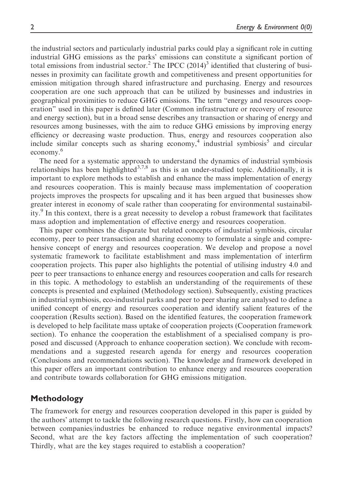the industrial sectors and particularly industrial parks could play a significant role in cutting industrial GHG emissions as the parks' emissions can constitute a significant portion of total emissions from industrial sector.<sup>2</sup> The IPCC  $(2014)^3$  identified that clustering of businesses in proximity can facilitate growth and competitiveness and present opportunities for emission mitigation through shared infrastructure and purchasing. Energy and resources cooperation are one such approach that can be utilized by businesses and industries in geographical proximities to reduce GHG emissions. The term "energy and resources cooperation" used in this paper is defined later (Common infrastructure or recovery of resource and energy section), but in a broad sense describes any transaction or sharing of energy and resources among businesses, with the aim to reduce GHG emissions by improving energy efficiency or decreasing waste production. Thus, energy and resources cooperation also include similar concepts such as sharing economy,<sup>4</sup> industrial symbiosis<sup>5</sup> and circular economy.<sup>6</sup>

The need for a systematic approach to understand the dynamics of industrial symbiosis relationships has been highlighted $3,7,8$  as this is an under-studied topic. Additionally, it is important to explore methods to establish and enhance the mass implementation of energy and resources cooperation. This is mainly because mass implementation of cooperation projects improves the prospects for upscaling and it has been argued that businesses show greater interest in economy of scale rather than cooperating for environmental sustainability. $9$  In this context, there is a great necessity to develop a robust framework that facilitates mass adoption and implementation of effective energy and resources cooperation.

This paper combines the disparate but related concepts of industrial symbiosis, circular economy, peer to peer transaction and sharing economy to formulate a single and comprehensive concept of energy and resources cooperation. We develop and propose a novel systematic framework to facilitate establishment and mass implementation of interfirm cooperation projects. This paper also highlights the potential of utilising industry 4.0 and peer to peer transactions to enhance energy and resources cooperation and calls for research in this topic. A methodology to establish an understanding of the requirements of these concepts is presented and explained (Methodology section). Subsequently, existing practices in industrial symbiosis, eco-industrial parks and peer to peer sharing are analysed to define a unified concept of energy and resources cooperation and identify salient features of the cooperation (Results section). Based on the identified features, the cooperation framework is developed to help facilitate mass uptake of cooperation projects (Cooperation framework section). To enhance the cooperation the establishment of a specialised company is proposed and discussed (Approach to enhance cooperation section). We conclude with recommendations and a suggested research agenda for energy and resources cooperation (Conclusions and recommendations section). The knowledge and framework developed in this paper offers an important contribution to enhance energy and resources cooperation and contribute towards collaboration for GHG emissions mitigation.

#### Methodology

The framework for energy and resources cooperation developed in this paper is guided by the authors' attempt to tackle the following research questions. Firstly, how can cooperation between companies/industries be enhanced to reduce negative environmental impacts? Second, what are the key factors affecting the implementation of such cooperation? Thirdly, what are the key stages required to establish a cooperation?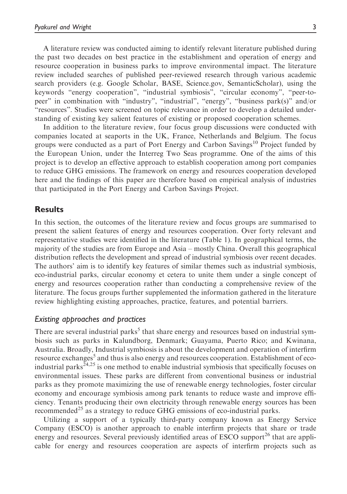A literature review was conducted aiming to identify relevant literature published during the past two decades on best practice in the establishment and operation of energy and resource cooperation in business parks to improve environmental impact. The literature review included searches of published peer-reviewed research through various academic search providers (e.g. Google Scholar, BASE, Science.gov, SemanticScholar), using the keywords "energy cooperation", "industrial symbiosis", "circular economy", "peer-topeer" in combination with "industry", "industrial", "energy", "business park(s)" and/or "resources". Studies were screened on topic relevance in order to develop a detailed understanding of existing key salient features of existing or proposed cooperation schemes.

In addition to the literature review, four focus group discussions were conducted with companies located at seaports in the UK, France, Netherlands and Belgium. The focus groups were conducted as a part of Port Energy and Carbon Savings<sup>10</sup> Project funded by the European Union, under the Interreg Two Seas programme. One of the aims of this project is to develop an effective approach to establish cooperation among port companies to reduce GHG emissions. The framework on energy and resources cooperation developed here and the findings of this paper are therefore based on empirical analysis of industries that participated in the Port Energy and Carbon Savings Project.

#### Results

In this section, the outcomes of the literature review and focus groups are summarised to present the salient features of energy and resources cooperation. Over forty relevant and representative studies were identified in the literature (Table 1). In geographical terms, the majority of the studies are from Europe and Asia – mostly China. Overall this geographical distribution reflects the development and spread of industrial symbiosis over recent decades. The authors' aim is to identify key features of similar themes such as industrial symbiosis, eco-industrial parks, circular economy et cetera to unite them under a single concept of energy and resources cooperation rather than conducting a comprehensive review of the literature. The focus groups further supplemented the information gathered in the literature review highlighting existing approaches, practice, features, and potential barriers.

#### Existing approaches and practices

There are several industrial parks<sup>5</sup> that share energy and resources based on industrial symbiosis such as parks in Kalundborg, Denmark; Guayama, Puerto Rico; and Kwinana, Australia. Broadly, Industrial symbiosis is about the development and operation of interfirm resource exchanges<sup>5</sup> and thus is also energy and resources cooperation. Establishment of ecoindustrial parks $^{24,25}$  is one method to enable industrial symbiosis that specifically focuses on environmental issues. These parks are different from conventional business or industrial parks as they promote maximizing the use of renewable energy technologies, foster circular economy and encourage symbiosis among park tenants to reduce waste and improve efficiency. Tenants producing their own electricity through renewable energy sources has been recommended<sup>25</sup> as a strategy to reduce GHG emissions of eco-industrial parks.

Utilizing a support of a typically third-party company known as Energy Service Company (ESCO) is another approach to enable interfirm projects that share or trade energy and resources. Several previously identified areas of ESCO support<sup>26</sup> that are applicable for energy and resources cooperation are aspects of interfirm projects such as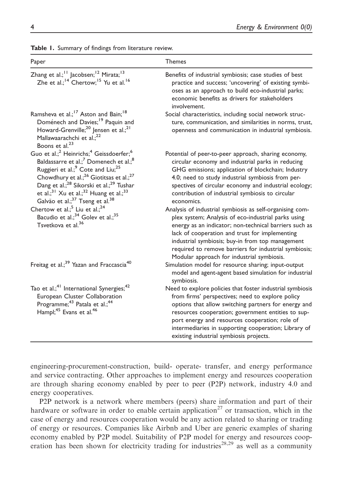| Paper                                                                                                                                                                                                                                                                                                                                                                                                                                                           | <b>Themes</b>                                                                                                                                                                                                                                                                                                                                                                          |
|-----------------------------------------------------------------------------------------------------------------------------------------------------------------------------------------------------------------------------------------------------------------------------------------------------------------------------------------------------------------------------------------------------------------------------------------------------------------|----------------------------------------------------------------------------------------------------------------------------------------------------------------------------------------------------------------------------------------------------------------------------------------------------------------------------------------------------------------------------------------|
| Zhang et al.; <sup>11</sup> Jacobsen; <sup>12</sup> Mirata; <sup>13</sup><br>Zhe et al.; <sup>14</sup> Chertow; <sup>15</sup> Yu et al. <sup>16</sup>                                                                                                                                                                                                                                                                                                           | Benefits of industrial symbiosis; case studies of best<br>practice and success; 'uncovering' of existing symbi-<br>oses as an approach to build eco-industrial parks;<br>economic benefits as drivers for stakeholders<br>involvement.                                                                                                                                                 |
| Ramsheva et al.; <sup>17</sup> Aston and Bain; <sup>18</sup><br>Doménech and Davies; <sup>19</sup> Paquin and<br>Howard-Grenville; <sup>20</sup> Jensen et al.; <sup>21</sup><br>Mallawaarachchi et al.; <sup>22</sup><br>Boons et al. <sup>23</sup>                                                                                                                                                                                                            | Social characteristics, including social network struc-<br>ture, communication, and similarities in norms, trust,<br>openness and communication in industrial symbiosis.                                                                                                                                                                                                               |
| Guo et al.; <sup>2</sup> Heinrichs; <sup>4</sup> Geissdoerfer; <sup>6</sup><br>Baldassarre et al.; <sup>7</sup> Domenech et al.; <sup>8</sup><br>Ruggieri et al.; <sup>9</sup> Cote and Liu; <sup>25</sup><br>Chowdhury et al.; <sup>26</sup> Giotitsas et al.; <sup>27</sup><br>Dang et al.; <sup>28</sup> Sikorski et al.; <sup>29</sup> Tushar<br>et al.; $31$ Xu et al.; $32$ Huang et al.; $33$<br>Galvão et al.; <sup>37</sup> Tseng et al. <sup>38</sup> | Potential of peer-to-peer approach, sharing economy,<br>circular economy and industrial parks in reducing<br>GHG emissions; application of blockchain; Industry<br>4.0; need to study industrial symbiosis from per-<br>spectives of circular economy and industrial ecology;<br>contribution of industrial symbiosis to circular<br>economics.                                        |
| Chertow et al.; <sup>5</sup> Liu et al.; <sup>24</sup><br>Bacudio et al.; <sup>34</sup> Golev et al.; <sup>35</sup><br>Tsvetkova et al. <sup>36</sup>                                                                                                                                                                                                                                                                                                           | Analysis of industrial symbiosis as self-organising com-<br>plex system; Analysis of eco-industrial parks using<br>energy as an indicator; non-technical barriers such as<br>lack of cooperation and trust for implementing<br>industrial symbiosis; buy-in from top management<br>required to remove barriers for industrial symbiosis;<br>Modular approach for industrial symbiosis. |
| Freitag et al.; <sup>39</sup> Yazan and Fraccascia <sup>40</sup>                                                                                                                                                                                                                                                                                                                                                                                                | Simulation model for resource sharing; input-output<br>model and agent-agent based simulation for industrial<br>symbiosis.                                                                                                                                                                                                                                                             |
| Tao et al.; <sup>41</sup> International Synergies; <sup>42</sup><br>European Cluster Collaboration<br>Programme; <sup>43</sup> Patala et al.; <sup>44</sup><br>Hampl; <sup>45</sup> Evans et al. <sup>46</sup>                                                                                                                                                                                                                                                  | Need to explore policies that foster industrial symbiosis<br>from firms' perspectives; need to explore policy<br>options that allow switching partners for energy and<br>resources cooperation; government entities to sup-<br>port energy and resources cooperation; role of<br>intermediaries in supporting cooperation; Library of<br>existing industrial symbiosis projects.       |

|  |  | Table 1. Summary of findings from literature review. |  |  |  |  |  |
|--|--|------------------------------------------------------|--|--|--|--|--|
|--|--|------------------------------------------------------|--|--|--|--|--|

engineering-procurement-construction, build- operate- transfer, and energy performance and service contracting. Other approaches to implement energy and resources cooperation are through sharing economy enabled by peer to peer (P2P) network, industry 4.0 and energy cooperatives.

P2P network is a network where members (peers) share information and part of their hardware or software in order to enable certain application<sup>27</sup> or transaction, which in the case of energy and resources cooperation would be any action related to sharing or trading of energy or resources. Companies like Airbnb and Uber are generic examples of sharing economy enabled by P2P model. Suitability of P2P model for energy and resources cooperation has been shown for electricity trading for industries<sup>28,29</sup> as well as a community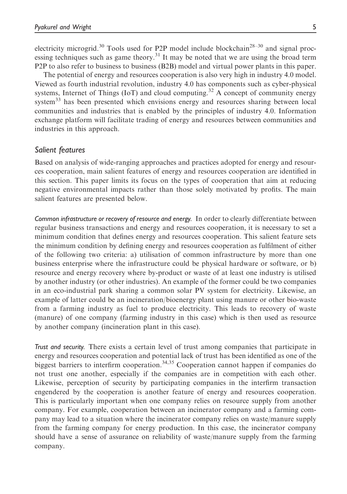electricity microgrid.<sup>30</sup> Tools used for P2P model include blockchain<sup>28–30</sup> and signal processing techniques such as game theory.<sup>31</sup> It may be noted that we are using the broad term P2P to also refer to business to business (B2B) model and virtual power plants in this paper.

The potential of energy and resources cooperation is also very high in industry 4.0 model. Viewed as fourth industrial revolution, industry 4.0 has components such as cyber-physical systems, Internet of Things (IoT) and cloud computing.<sup>32</sup> A concept of community energy system<sup>33</sup> has been presented which envisions energy and resources sharing between local communities and industries that is enabled by the principles of industry 4.0. Information exchange platform will facilitate trading of energy and resources between communities and industries in this approach.

#### Salient features

Based on analysis of wide-ranging approaches and practices adopted for energy and resources cooperation, main salient features of energy and resources cooperation are identified in this section. This paper limits its focus on the types of cooperation that aim at reducing negative environmental impacts rather than those solely motivated by profits. The main salient features are presented below.

Common infrastructure or recovery of resource and energy. In order to clearly differentiate between regular business transactions and energy and resources cooperation, it is necessary to set a minimum condition that defines energy and resources cooperation. This salient feature sets the minimum condition by defining energy and resources cooperation as fulfilment of either of the following two criteria: a) utilisation of common infrastructure by more than one business enterprise where the infrastructure could be physical hardware or software, or b) resource and energy recovery where by-product or waste of at least one industry is utilised by another industry (or other industries). An example of the former could be two companies in an eco-industrial park sharing a common solar PV system for electricity. Likewise, an example of latter could be an incineration/bioenergy plant using manure or other bio-waste from a farming industry as fuel to produce electricity. This leads to recovery of waste (manure) of one company (farming industry in this case) which is then used as resource by another company (incineration plant in this case).

Trust and security. There exists a certain level of trust among companies that participate in energy and resources cooperation and potential lack of trust has been identified as one of the biggest barriers to interfirm cooperation.<sup>34,35</sup> Cooperation cannot happen if companies do not trust one another, especially if the companies are in competition with each other. Likewise, perception of security by participating companies in the interfirm transaction engendered by the cooperation is another feature of energy and resources cooperation. This is particularly important when one company relies on resource supply from another company. For example, cooperation between an incinerator company and a farming company may lead to a situation where the incinerator company relies on waste/manure supply from the farming company for energy production. In this case, the incinerator company should have a sense of assurance on reliability of waste/manure supply from the farming company.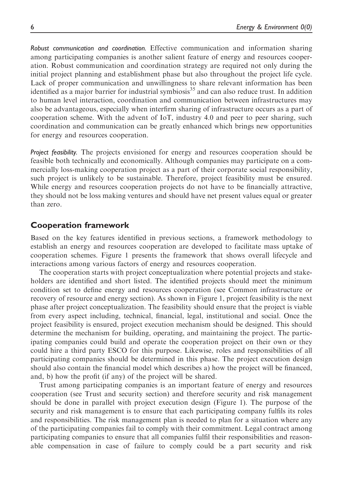Robust communication and coordination. Effective communication and information sharing among participating companies is another salient feature of energy and resources cooperation. Robust communication and coordination strategy are required not only during the initial project planning and establishment phase but also throughout the project life cycle. Lack of proper communication and unwillingness to share relevant information has been identified as a major barrier for industrial symbiosis<sup>35</sup> and can also reduce trust. In addition to human level interaction, coordination and communication between infrastructures may also be advantageous, especially when interfirm sharing of infrastructure occurs as a part of cooperation scheme. With the advent of IoT, industry 4.0 and peer to peer sharing, such coordination and communication can be greatly enhanced which brings new opportunities for energy and resources cooperation.

Project feasibility. The projects envisioned for energy and resources cooperation should be feasible both technically and economically. Although companies may participate on a commercially loss-making cooperation project as a part of their corporate social responsibility, such project is unlikely to be sustainable. Therefore, project feasibility must be ensured. While energy and resources cooperation projects do not have to be financially attractive, they should not be loss making ventures and should have net present values equal or greater than zero.

#### Cooperation framework

Based on the key features identified in previous sections, a framework methodology to establish an energy and resources cooperation are developed to facilitate mass uptake of cooperation schemes. Figure 1 presents the framework that shows overall lifecycle and interactions among various factors of energy and resources cooperation.

The cooperation starts with project conceptualization where potential projects and stakeholders are identified and short listed. The identified projects should meet the minimum condition set to define energy and resources cooperation (see Common infrastructure or recovery of resource and energy section). As shown in Figure 1, project feasibility is the next phase after project conceptualization. The feasibility should ensure that the project is viable from every aspect including, technical, financial, legal, institutional and social. Once the project feasibility is ensured, project execution mechanism should be designed. This should determine the mechanism for building, operating, and maintaining the project. The participating companies could build and operate the cooperation project on their own or they could hire a third party ESCO for this purpose. Likewise, roles and responsibilities of all participating companies should be determined in this phase. The project execution design should also contain the financial model which describes a) how the project will be financed, and, b) how the profit (if any) of the project will be shared.

Trust among participating companies is an important feature of energy and resources cooperation (see Trust and security section) and therefore security and risk management should be done in parallel with project execution design (Figure 1). The purpose of the security and risk management is to ensure that each participating company fulfils its roles and responsibilities. The risk management plan is needed to plan for a situation where any of the participating companies fail to comply with their commitment. Legal contract among participating companies to ensure that all companies fulfil their responsibilities and reasonable compensation in case of failure to comply could be a part security and risk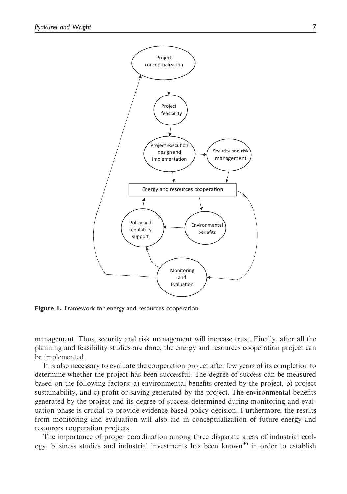

Figure 1. Framework for energy and resources cooperation.

management. Thus, security and risk management will increase trust. Finally, after all the planning and feasibility studies are done, the energy and resources cooperation project can be implemented.

It is also necessary to evaluate the cooperation project after few years of its completion to determine whether the project has been successful. The degree of success can be measured based on the following factors: a) environmental benefits created by the project, b) project sustainability, and c) profit or saving generated by the project. The environmental benefits generated by the project and its degree of success determined during monitoring and evaluation phase is crucial to provide evidence-based policy decision. Furthermore, the results from monitoring and evaluation will also aid in conceptualization of future energy and resources cooperation projects.

The importance of proper coordination among three disparate areas of industrial ecology, business studies and industrial investments has been known<sup>36</sup> in order to establish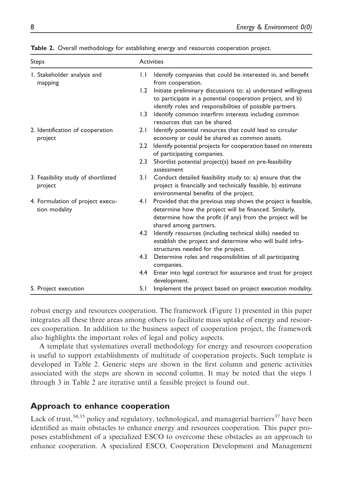| <b>Steps</b>                                      | <b>Activities</b> |                                                                                                                                                                                                                  |  |  |
|---------------------------------------------------|-------------------|------------------------------------------------------------------------------------------------------------------------------------------------------------------------------------------------------------------|--|--|
| I. Stakeholder analysis and<br>mapping            | $\mathsf{L}$      | Identify companies that could be interested in, and benefit<br>from cooperation.                                                                                                                                 |  |  |
|                                                   | 1.2               | Initiate preliminary discussions to: a) understand willingness<br>to participate in a potential cooperation project, and b)<br>identify roles and responsibilities of possible partners.                         |  |  |
|                                                   | 1.3               | Identify common interfirm interests including common<br>resources that can be shared.                                                                                                                            |  |  |
| 2. Identification of cooperation<br>project       | 2.1               | Identify potential resources that could lead to circular<br>economy or could be shared as common assets.                                                                                                         |  |  |
|                                                   | $2.2^{\circ}$     | Identify potential projects for cooperation based on interests<br>of participating companies.                                                                                                                    |  |  |
|                                                   | 2.3               | Shortlist potential project(s) based on pre-feasibility<br>assessment                                                                                                                                            |  |  |
| 3. Feasibility study of shortlisted<br>project    | 3.1               | Conduct detailed feasibility study to: a) ensure that the<br>project is financially and technically feasible, b) estimate<br>environmental benefits of the project.                                              |  |  |
| 4. Formulation of project execu-<br>tion modality | 4.1               | Provided that the previous step shows the project is feasible,<br>determine how the project will be financed. Similarly,<br>determine how the profit (if any) from the project will be<br>shared among partners. |  |  |
|                                                   | 4.2               | Identify resources (including technical skills) needed to<br>establish the project and determine who will build infra-<br>structures needed for the project.                                                     |  |  |
|                                                   | 4.3               | Determine roles and responsibilities of all participating<br>companies.                                                                                                                                          |  |  |
|                                                   | 4.4               | Enter into legal contract for assurance and trust for project<br>development.                                                                                                                                    |  |  |
| 5. Project execution                              | 5.1               | Implement the project based on project execution modality.                                                                                                                                                       |  |  |

Table 2. Overall methodology for establishing energy and resources cooperation project.

robust energy and resources cooperation. The framework (Figure 1) presented in this paper integrates all these three areas among others to facilitate mass uptake of energy and resources cooperation. In addition to the business aspect of cooperation project, the framework also highlights the important roles of legal and policy aspects.

A template that systematizes overall methodology for energy and resources cooperation is useful to support establishments of multitude of cooperation projects. Such template is developed in Table 2. Generic steps are shown in the first column and generic activities associated with the steps are shown in second column. It may be noted that the steps 1 through 3 in Table 2 are iterative until a feasible project is found out.

# Approach to enhance cooperation

Lack of trust,  $34,35$  policy and regulatory, technological, and managerial barriers  $37$  have been identified as main obstacles to enhance energy and resources cooperation. This paper proposes establishment of a specialized ESCO to overcome these obstacles as an approach to enhance cooperation. A specialized ESCO, Cooperation Development and Management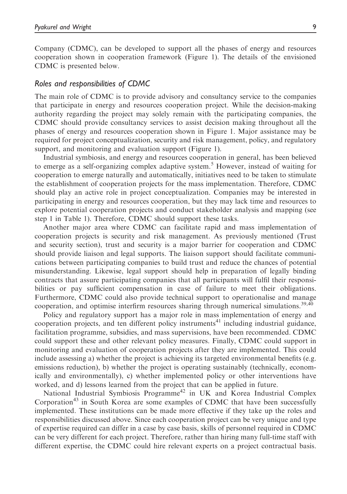Company (CDMC), can be developed to support all the phases of energy and resources cooperation shown in cooperation framework (Figure 1). The details of the envisioned CDMC is presented below.

#### Roles and responsibilities of CDMC

The main role of CDMC is to provide advisory and consultancy service to the companies that participate in energy and resources cooperation project. While the decision-making authority regarding the project may solely remain with the participating companies, the CDMC should provide consultancy services to assist decision making throughout all the phases of energy and resources cooperation shown in Figure 1. Major assistance may be required for project conceptualization, security and risk management, policy, and regulatory support, and monitoring and evaluation support (Figure 1).

Industrial symbiosis, and energy and resources cooperation in general, has been believed to emerge as a self-organizing complex adaptive system.<sup>5</sup> However, instead of waiting for cooperation to emerge naturally and automatically, initiatives need to be taken to stimulate the establishment of cooperation projects for the mass implementation. Therefore, CDMC should play an active role in project conceptualization. Companies may be interested in participating in energy and resources cooperation, but they may lack time and resources to explore potential cooperation projects and conduct stakeholder analysis and mapping (see step 1 in Table 1). Therefore, CDMC should support these tasks.

Another major area where CDMC can facilitate rapid and mass implementation of cooperation projects is security and risk management. As previously mentioned (Trust and security section), trust and security is a major barrier for cooperation and CDMC should provide liaison and legal supports. The liaison support should facilitate communications between participating companies to build trust and reduce the chances of potential misunderstanding. Likewise, legal support should help in preparation of legally binding contracts that assure participating companies that all participants will fulfil their responsibilities or pay sufficient compensation in case of failure to meet their obligations. Furthermore, CDMC could also provide technical support to operationalise and manage cooperation, and optimise interfirm resources sharing through numerical simulations.<sup>39,40</sup>

Policy and regulatory support has a major role in mass implementation of energy and cooperation projects, and ten different policy instruments<sup>41</sup> including industrial guidance, facilitation programme, subsidies, and mass supervisions, have been recommended. CDMC could support these and other relevant policy measures. Finally, CDMC could support in monitoring and evaluation of cooperation projects after they are implemented. This could include assessing a) whether the project is achieving its targeted environmental benefits (e.g. emissions reduction), b) whether the project is operating sustainably (technically, economically and environmentally), c) whether implemented policy or other interventions have worked, and d) lessons learned from the project that can be applied in future.

National Industrial Symbiosis Programme<sup>42</sup> in UK and Korea Industrial Complex Corporation<sup>43</sup> in South Korea are some examples of CDMC that have been successfully implemented. These institutions can be made more effective if they take up the roles and responsibilities discussed above. Since each cooperation project can be very unique and type of expertise required can differ in a case by case basis, skills of personnel required in CDMC can be very different for each project. Therefore, rather than hiring many full-time staff with different expertise, the CDMC could hire relevant experts on a project contractual basis.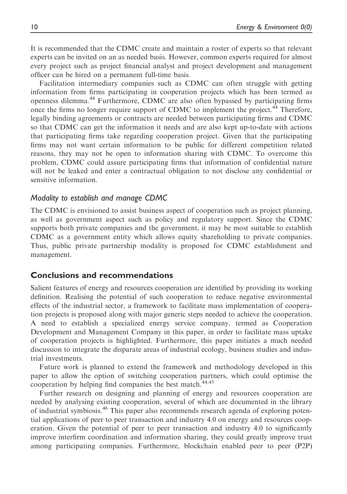It is recommended that the CDMC create and maintain a roster of experts so that relevant experts can be invited on an as needed basis. However, common experts required for almost every project such as project financial analyst and project development and management officer can be hired on a permanent full-time basis.

Facilitation intermediary companies such as CDMC can often struggle with getting information from firms participating in cooperation projects which has been termed as openness dilemma.<sup>44</sup> Furthermore, CDMC are also often bypassed by participating firms once the firms no longer require support of CDMC to implement the project.<sup>44</sup> Therefore, legally binding agreements or contracts are needed between participating firms and CDMC so that CDMC can get the information it needs and are also kept up-to-date with actions that participating firms take regarding cooperation project. Given that the participating firms may not want certain information to be public for different competition related reasons, they may not be open to information sharing with CDMC. To overcome this problem, CDMC could assure participating firms that information of confidential nature will not be leaked and enter a contractual obligation to not disclose any confidential or sensitive information.

#### Modality to establish and manage CDMC

The CDMC is envisioned to assist business aspect of cooperation such as project planning, as well as government aspect such as policy and regulatory support. Since the CDMC supports both private companies and the government, it may be most suitable to establish CDMC as a government entity which allows equity shareholding to private companies. Thus, public private partnership modality is proposed for CDMC establishment and management.

#### Conclusions and recommendations

Salient features of energy and resources cooperation are identified by providing its working definition. Realising the potential of such cooperation to reduce negative environmental effects of the industrial sector, a framework to facilitate mass implementation of cooperation projects is proposed along with major generic steps needed to achieve the cooperation. A need to establish a specialized energy service company, termed as Cooperation Development and Management Company in this paper, in order to facilitate mass uptake of cooperation projects is highlighted. Furthermore, this paper initiates a much needed discussion to integrate the disparate areas of industrial ecology, business studies and industrial investments.

Future work is planned to extend the framework and methodology developed in this paper to allow the option of switching cooperation partners, which could optimise the cooperation by helping find companies the best match.<sup>44,45</sup>

Further research on designing and planning of energy and resources cooperation are needed by analysing existing cooperation, several of which are documented in the library of industrial symbiosis.<sup>46</sup> This paper also recommends research agenda of exploring potential applications of peer to peer transaction and industry 4.0 on energy and resources cooperation. Given the potential of peer to peer transaction and industry 4.0 to significantly improve interfirm coordination and information sharing, they could greatly improve trust among participating companies. Furthermore, blockchain enabled peer to peer (P2P)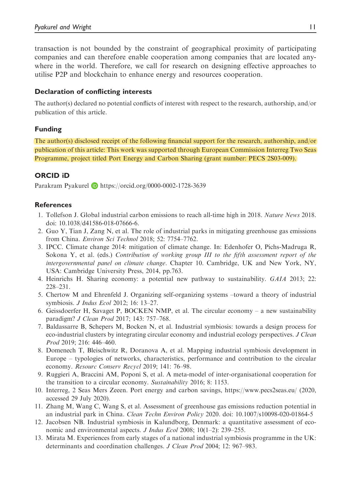transaction is not bounded by the constraint of geographical proximity of participating companies and can therefore enable cooperation among companies that are located anywhere in the world. Therefore, we call for research on designing effective approaches to utilise P2P and blockchain to enhance energy and resources cooperation.

### Declaration of conflicting interests

The author(s) declared no potential conflicts of interest with respect to the research, authorship, and/or publication of this article.

## Funding

The author(s) disclosed receipt of the following financial support for the research, authorship, and/or publication of this article: This work was supported through European Commission Interreg Two Seas Programme, project titled Port Energy and Carbon Sharing (grant number: PECS 2S03-009).

## ORCID iD

Parakram Pyakurel **D** <https://orcid.org/0000-0002-1728-3639>

#### References

- 1. Tollefson J. Global industrial carbon emissions to reach all-time high in 2018. Nature News 2018. doi: 10.1038/d41586-018-07666-6.
- 2. Guo Y, Tian J, Zang N, et al. The role of industrial parks in mitigating greenhouse gas emissions from China. Environ Sci Technol 2018; 52: 7754–7762.
- 3. IPCC. Climate change 2014: mitigation of climate change. In: Edenhofer O, Pichs-Madruga R, Sokona Y, et al. (eds.) Contribution of working group III to the fifth assessment report of the intergovernmental panel on climate change. Chapter 10. Cambridge, UK and New York, NY, USA: Cambridge University Press, 2014, pp.763.
- 4. Heinrichs H. Sharing economy: a potential new pathway to sustainability. GAIA 2013; 22: 228–231.
- 5. Chertow M and Ehrenfeld J. Organizing self-organizing systems –toward a theory of industrial symbiosis. J Indus Ecol 2012; 16: 13–27.
- 6. Geissdoerfer H, Savaget P, BOCKEN NMP, et al. The circular economy a new sustainability paradigm? J Clean Prod 2017; 143: 757–768.
- 7. Baldassarre B, Schepers M, Bocken N, et al. Industrial symbiosis: towards a design process for eco-industrial clusters by integrating circular economy and industrial ecology perspectives. J Clean Prod 2019; 216: 446–460.
- 8. Domenech T, Bleischwitz R, Doranova A, et al. Mapping industrial symbiosis development in Europe – typologies of networks, characteristics, performance and contribution to the circular economy. Resourc Conserv Recycl 2019; 141: 76–98.
- 9. Ruggieri A, Braccini AM, Poponi S, et al. A meta-model of inter-organisational cooperation for the transition to a circular economy. Sustainability 2016; 8: 1153.
- 10. Interreg, 2 Seas Mers Zeeen. Port energy and carbon savings,<https://www.pecs2seas.eu/> (2020, accessed 29 July 2020).
- 11. Zhang M, Wang C, Wang S, et al. Assessment of greenhouse gas emissions reduction potential in an industrial park in China. Clean Techn Environ Policy 2020. doi: [10.1007/s10098-020-01864-5](http://10.1007/s10098-020-01864-5)
- 12. Jacobsen NB. Industrial symbiosis in Kalundborg, Denmark: a quantitative assessment of economic and environmental aspects. J Indus Ecol 2008;  $10(1-2)$ : 239–255.
- 13. Mirata M. Experiences from early stages of a national industrial symbiosis programme in the UK: determinants and coordination challenges. J Clean Prod 2004; 12: 967–983.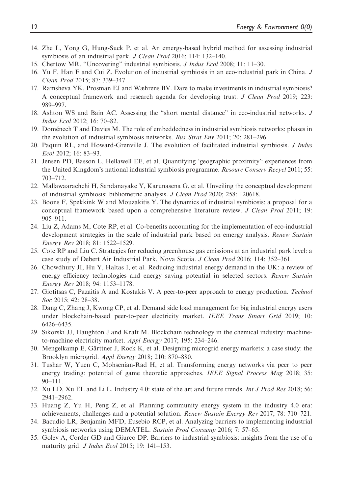- 14. Zhe L, Yong G, Hung-Suck P, et al. An emergy-based hybrid method for assessing industrial symbiosis of an industrial park. J Clean Prod 2016; 114: 132–140.
- 15. Chertow MR. "Uncovering" industrial symbiosis. J Indus Ecol 2008; 11: 11–30.
- 16. Yu F, Han F and Cui Z. Evolution of industrial symbiosis in an eco-industrial park in China. J Clean Prod 2015; 87: 339–347.
- 17. Ramsheva YK, Prosman EJ and Wæhrens BV. Dare to make investments in industrial symbiosis? A conceptual framework and research agenda for developing trust. J Clean Prod 2019; 223: 989–997.
- 18. Ashton WS and Bain AC. Assessing the "short mental distance" in eco-industrial networks. J Indus Ecol 2012; 16: 70–82.
- 19. Domenech T and Davies M. The role of embeddedness in industrial symbiosis networks: phases in the evolution of industrial symbiosis networks. Bus Strat Env 2011; 20: 281–296.
- 20. Paquin RL, and Howard-Grenville J. The evolution of facilitated industrial symbiosis. J Indus Ecol 2012; 16: 83–93.
- 21. Jensen PD, Basson L, Hellawell EE, et al. Quantifying 'geographic proximity': experiences from the United Kingdom's national industrial symbiosis programme. Resourc Conserv Recycl 2011; 55: 703–712.
- 22. Mallawaarachchi H, Sandanayake Y, Karunasena G, et al. Unveiling the conceptual development of industrial symbiosis: bibliometric analysis. J Clean Prod 2020; 258: 120618.
- 23. Boons F, Spekkink W and Mouzakitis Y. The dynamics of industrial symbiosis: a proposal for a conceptual framework based upon a comprehensive literature review. J Clean Prod 2011; 19: 905–911.
- 24. Liu Z, Adams M, Cote RP, et al. Co-benefits accounting for the implementation of eco-industrial development strategies in the scale of industrial park based on emergy analysis. Renew Sustain Energy Rev 2018; 81: 1522–1529.
- 25. Cote RP and Liu C. Strategies for reducing greenhouse gas emissions at an industrial park level: a case study of Debert Air Industrial Park, Nova Scotia. J Clean Prod 2016; 114: 352–361.
- 26. Chowdhury JI, Hu Y, Haltas I, et al. Reducing industrial energy demand in the UK: a review of energy efficiency technologies and energy saving potential in selected sectors. Renew Sustain Energy Rev 2018; 94: 1153–1178.
- 27. Giotitsas C, Pazaitis A and Kostakis V. A peer-to-peer approach to energy production. Technol Soc 2015; 42: 28-38.
- 28. Dang C, Zhang J, Kwong CP, et al. Demand side load management for big industrial energy users under blockchain-based peer-to-peer electricity market. IEEE Trans Smart Grid 2019; 10: 6426–6435.
- 29. Sikorski JJ, Haughton J and Kraft M. Blockchain technology in the chemical industry: machineto-machine electricity market. Appl Energy 2017; 195: 234–246.
- 30. Mengelkamp E, Gärttner J, Rock K, et al. Designing microgrid energy markets: a case study: the Brooklyn microgrid. Appl Energy 2018; 210: 870–880.
- 31. Tushar W, Yuen C, Mohsenian-Rad H, et al. Transforming energy networks via peer to peer energy trading: potential of game theoretic approaches. IEEE Signal Process Mag 2018; 35: 90–111.
- 32. Xu LD, Xu EL and Li L. Industry 4.0: state of the art and future trends. Int J Prod Res 2018; 56: 2941–2962.
- 33. Huang Z, Yu H, Peng Z, et al. Planning community energy system in the industry 4.0 era: achievements, challenges and a potential solution. Renew Sustain Energy Rev 2017; 78: 710–721.
- 34. Bacudio LR, Benjamin MFD, Eusebio RCP, et al. Analyzing barriers to implementing industrial symbiosis networks using DEMATEL. Sustain Prod Consump 2016; 7: 57–65.
- 35. Golev A, Corder GD and Giurco DP. Barriers to industrial symbiosis: insights from the use of a maturity grid. J Indus Ecol 2015; 19: 141–153.